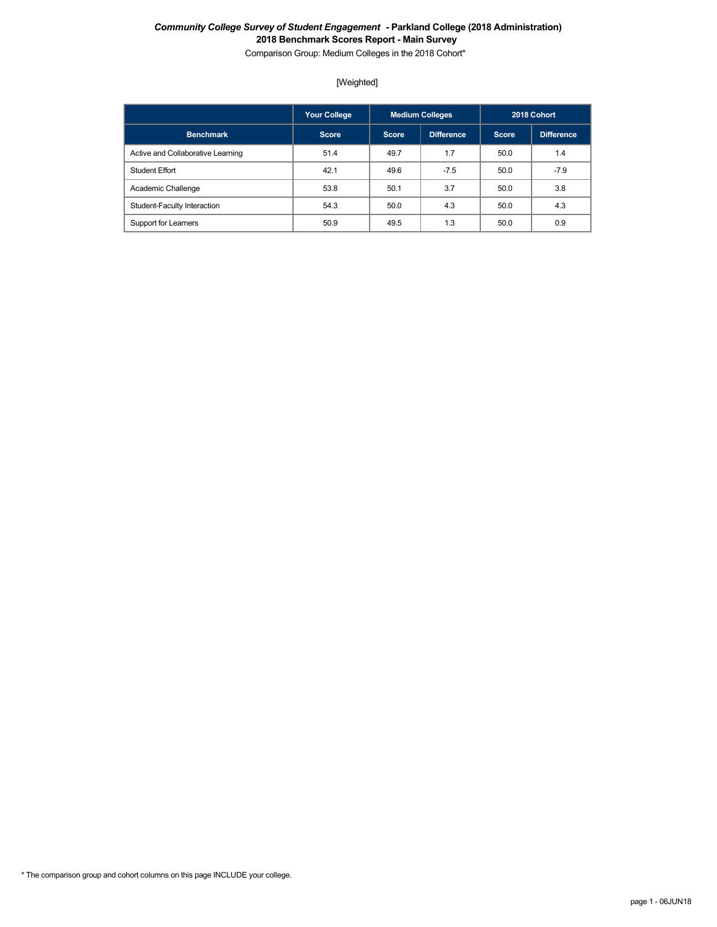Comparison Group: Medium Colleges in the 2018 Cohort\*

# [Weighted]

|                                   | <b>Your College</b> |              | <b>Medium Colleges</b> |       | 2018 Cohort |
|-----------------------------------|---------------------|--------------|------------------------|-------|-------------|
| <b>Benchmark</b>                  | <b>Score</b>        | <b>Score</b> | Difference             | Score | Difference  |
| Active and Collaborative Learning | 51.4                | 49.7         | 1.7                    | 50.0  | 1.4         |
| <b>Student Effort</b>             | 42.1                | 49.6         | $-7.5$                 | 50.0  | $-7.9$      |
| Academic Challenge                | 53.8                | 50.1         | 3.7                    | 50.0  | 3.8         |
| Student-Faculty Interaction       | 54.3                | 50.0         | 4.3                    | 50.0  | 4.3         |
| Support for Learners              | 50.9                | 49.5         | 1.3                    | 50.0  | 0.9         |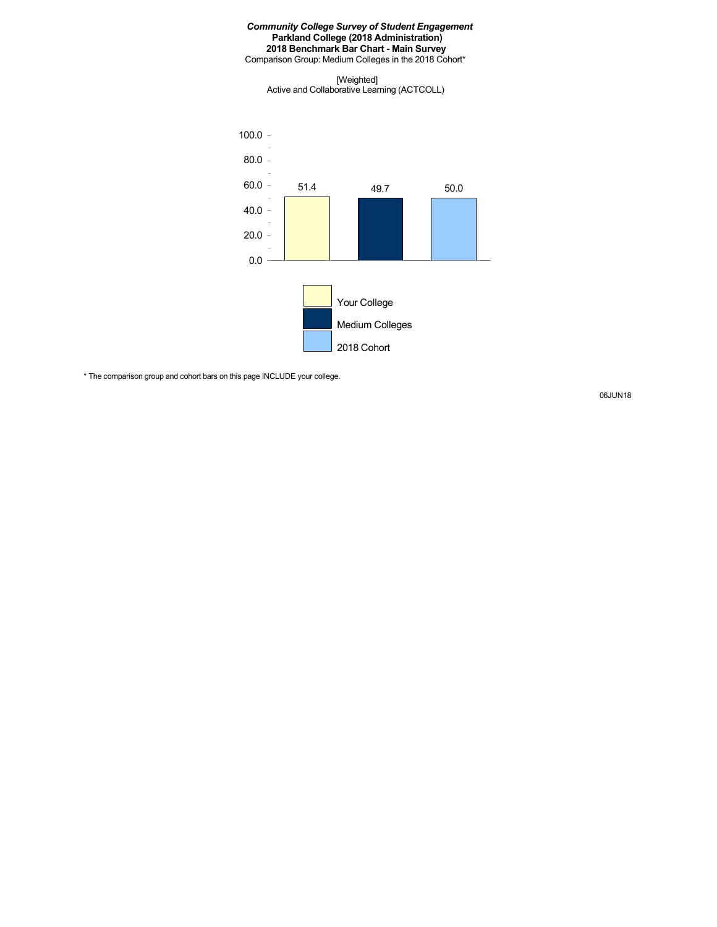#### *Community College Survey of Student Engagement* **Parkland College (2018 Administration) 2018 Benchmark Bar Chart - Main Survey** Comparison Group: Medium Colleges in the 2018 Cohort\*

[Weighted] Active and Collaborative Learning (ACTCOLL)



\* The comparison group and cohort bars on this page INCLUDE your college.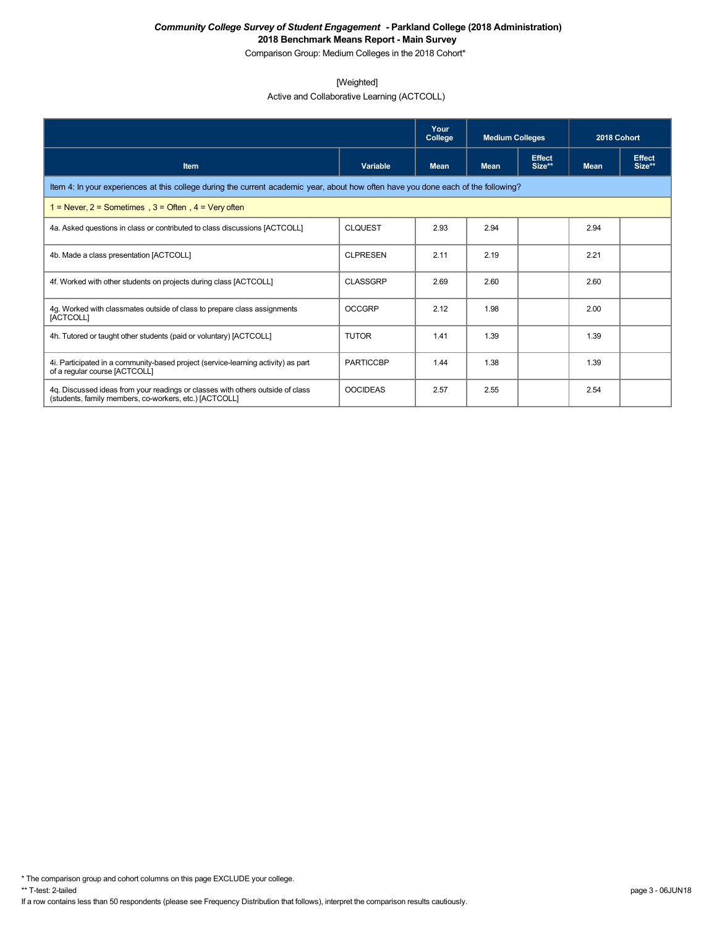Comparison Group: Medium Colleges in the 2018 Cohort\*

### [Weighted]

Active and Collaborative Learning (ACTCOLL)

|                                                                                                                                          |                  | Your<br>College | <b>Medium Colleges</b> |                         | 2018 Cohort |                         |  |  |
|------------------------------------------------------------------------------------------------------------------------------------------|------------------|-----------------|------------------------|-------------------------|-------------|-------------------------|--|--|
| <b>Item</b>                                                                                                                              | Variable         | <b>Mean</b>     | <b>Mean</b>            | <b>Effect</b><br>Size** | <b>Mean</b> | <b>Effect</b><br>Size** |  |  |
| Item 4: In your experiences at this college during the current academic year, about how often have you done each of the following?       |                  |                 |                        |                         |             |                         |  |  |
| 1 = Never, $2$ = Sometimes, $3$ = Often, $4$ = Very often                                                                                |                  |                 |                        |                         |             |                         |  |  |
| 4a. Asked questions in class or contributed to class discussions [ACTCOLL]                                                               | <b>CLQUEST</b>   | 2.93            | 2.94                   |                         | 2.94        |                         |  |  |
| 4b. Made a class presentation [ACTCOLL]                                                                                                  | <b>CLPRESEN</b>  | 2.11            | 2.19                   |                         | 2.21        |                         |  |  |
| 4f. Worked with other students on projects during class [ACTCOLL]                                                                        | <b>CLASSGRP</b>  | 2.69            | 2.60                   |                         | 2.60        |                         |  |  |
| 4g. Worked with classmates outside of class to prepare class assignments<br>[ACTCOLL]                                                    | <b>OCCGRP</b>    | 2.12            | 1.98                   |                         | 2.00        |                         |  |  |
| 4h. Tutored or taught other students (paid or voluntary) [ACTCOLL]                                                                       | <b>TUTOR</b>     | 1.41            | 1.39                   |                         | 1.39        |                         |  |  |
| 4i. Participated in a community-based project (service-learning activity) as part<br>of a regular course [ACTCOLL]                       | <b>PARTICCBP</b> | 1.44            | 1.38                   |                         | 1.39        |                         |  |  |
| 4q. Discussed ideas from your readings or classes with others outside of class<br>(students, family members, co-workers, etc.) [ACTCOLL] | <b>OOCIDEAS</b>  | 2.57            | 2.55                   |                         | 2.54        |                         |  |  |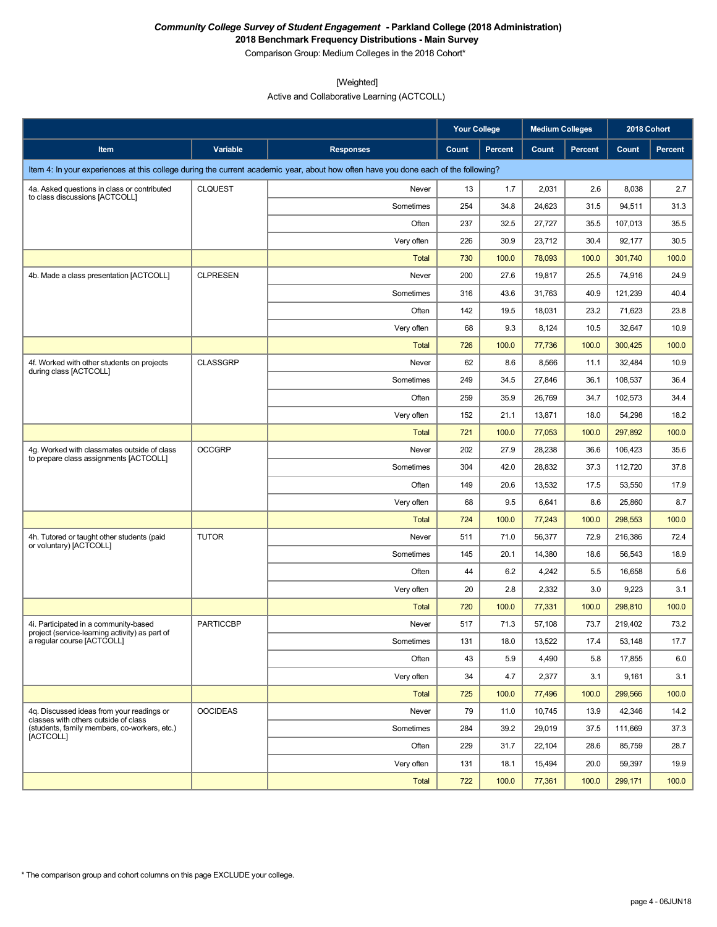Comparison Group: Medium Colleges in the 2018 Cohort\*

[Weighted]

Active and Collaborative Learning (ACTCOLL)

|                                                                                         |                  |                                                                                                                                    | <b>Your College</b> |         | <b>Medium Colleges</b> |                | 2018 Cohort |         |
|-----------------------------------------------------------------------------------------|------------------|------------------------------------------------------------------------------------------------------------------------------------|---------------------|---------|------------------------|----------------|-------------|---------|
| Item                                                                                    | Variable         | <b>Responses</b>                                                                                                                   | Count               | Percent | Count                  | <b>Percent</b> | Count       | Percent |
|                                                                                         |                  | Item 4: In your experiences at this college during the current academic year, about how often have you done each of the following? |                     |         |                        |                |             |         |
| 4a. Asked questions in class or contributed                                             | <b>CLQUEST</b>   | Never                                                                                                                              | 13                  | 1.7     | 2,031                  | 2.6            | 8,038       | 2.7     |
| to class discussions [ACTCOLL]                                                          |                  | Sometimes                                                                                                                          | 254                 | 34.8    | 24,623                 | 31.5           | 94,511      | 31.3    |
|                                                                                         |                  | Often                                                                                                                              | 237                 | 32.5    | 27,727                 | 35.5           | 107,013     | 35.5    |
|                                                                                         |                  | Very often                                                                                                                         | 226                 | 30.9    | 23,712                 | 30.4           | 92,177      | 30.5    |
|                                                                                         |                  | Total                                                                                                                              | 730                 | 100.0   | 78,093                 | 100.0          | 301,740     | 100.0   |
| 4b. Made a class presentation [ACTCOLL]                                                 | <b>CLPRESEN</b>  | Never                                                                                                                              | 200                 | 27.6    | 19,817                 | 25.5           | 74,916      | 24.9    |
|                                                                                         |                  | Sometimes                                                                                                                          | 316                 | 43.6    | 31,763                 | 40.9           | 121,239     | 40.4    |
|                                                                                         |                  | Often                                                                                                                              | 142                 | 19.5    | 18,031                 | 23.2           | 71,623      | 23.8    |
|                                                                                         |                  | Very often                                                                                                                         | 68                  | 9.3     | 8,124                  | 10.5           | 32,647      | 10.9    |
|                                                                                         |                  | <b>Total</b>                                                                                                                       | 726                 | 100.0   | 77,736                 | 100.0          | 300,425     | 100.0   |
| 4f. Worked with other students on projects<br>during class [ACTCOLL]                    | <b>CLASSGRP</b>  | Never                                                                                                                              | 62                  | 8.6     | 8,566                  | 11.1           | 32,484      | 10.9    |
|                                                                                         |                  | Sometimes                                                                                                                          | 249                 | 34.5    | 27,846                 | 36.1           | 108,537     | 36.4    |
|                                                                                         |                  | Often                                                                                                                              | 259                 | 35.9    | 26,769                 | 34.7           | 102,573     | 34.4    |
|                                                                                         |                  | Very often                                                                                                                         | 152                 | 21.1    | 13,871                 | 18.0           | 54,298      | 18.2    |
|                                                                                         |                  | Total                                                                                                                              | 721                 | 100.0   | 77,053                 | 100.0          | 297,892     | 100.0   |
| 4g. Worked with classmates outside of class<br>to prepare class assignments [ACTCOLL]   | <b>OCCGRP</b>    | Never                                                                                                                              | 202                 | 27.9    | 28,238                 | 36.6           | 106,423     | 35.6    |
|                                                                                         |                  | Sometimes                                                                                                                          | 304                 | 42.0    | 28,832                 | 37.3           | 112,720     | 37.8    |
|                                                                                         |                  | Often                                                                                                                              | 149                 | 20.6    | 13,532                 | 17.5           | 53,550      | 17.9    |
|                                                                                         |                  | Very often                                                                                                                         | 68                  | 9.5     | 6,641                  | 8.6            | 25,860      | 8.7     |
|                                                                                         |                  | Total                                                                                                                              | 724                 | 100.0   | 77,243                 | 100.0          | 298,553     | 100.0   |
| 4h. Tutored or taught other students (paid<br>or voluntary) [ACTCOLL]                   | <b>TUTOR</b>     | Never                                                                                                                              | 511                 | 71.0    | 56,377                 | 72.9           | 216,386     | 72.4    |
|                                                                                         |                  | Sometimes                                                                                                                          | 145                 | 20.1    | 14,380                 | 18.6           | 56,543      | 18.9    |
|                                                                                         |                  | Often                                                                                                                              | 44                  | 6.2     | 4,242                  | 5.5            | 16,658      | 5.6     |
|                                                                                         |                  | Very often                                                                                                                         | 20                  | 2.8     | 2,332                  | 3.0            | 9,223       | 3.1     |
|                                                                                         |                  | Total                                                                                                                              | 720                 | 100.0   | 77,331                 | 100.0          | 298,810     | 100.0   |
| 4i. Participated in a community-based<br>project (service-learning activity) as part of | <b>PARTICCBP</b> | Never                                                                                                                              | 517                 | 71.3    | 57,108                 | 73.7           | 219,402     | 73.2    |
| a regular course [ACTCOLL]                                                              |                  | Sometimes                                                                                                                          | 131                 | 18.0    | 13,522                 | 17.4           | 53,148      | 17.7    |
|                                                                                         |                  | Often                                                                                                                              | 43                  | 5.9     | 4,490                  | 5.8            | 17,855      | 6.0     |
|                                                                                         |                  | Very often                                                                                                                         | 34                  | 4.7     | 2,377                  | 3.1            | 9,161       | 3.1     |
|                                                                                         |                  | Total                                                                                                                              | 725                 | 100.0   | 77,496                 | 100.0          | 299,566     | 100.0   |
| 4g. Discussed ideas from your readings or<br>classes with others outside of class       | <b>OOCIDEAS</b>  | Never                                                                                                                              | 79                  | 11.0    | 10,745                 | 13.9           | 42,346      | 14.2    |
| (students, family members, co-workers, etc.)<br>[ACTCOLL]                               |                  | Sometimes                                                                                                                          | 284                 | 39.2    | 29,019                 | 37.5           | 111.669     | 37.3    |
|                                                                                         |                  | Often                                                                                                                              | 229                 | 31.7    | 22,104                 | 28.6           | 85,759      | 28.7    |
|                                                                                         |                  | Very often                                                                                                                         | 131                 | 18.1    | 15,494                 | 20.0           | 59,397      | 19.9    |
|                                                                                         |                  | <b>Total</b>                                                                                                                       | 722                 | 100.0   | 77,361                 | 100.0          | 299,171     | 100.0   |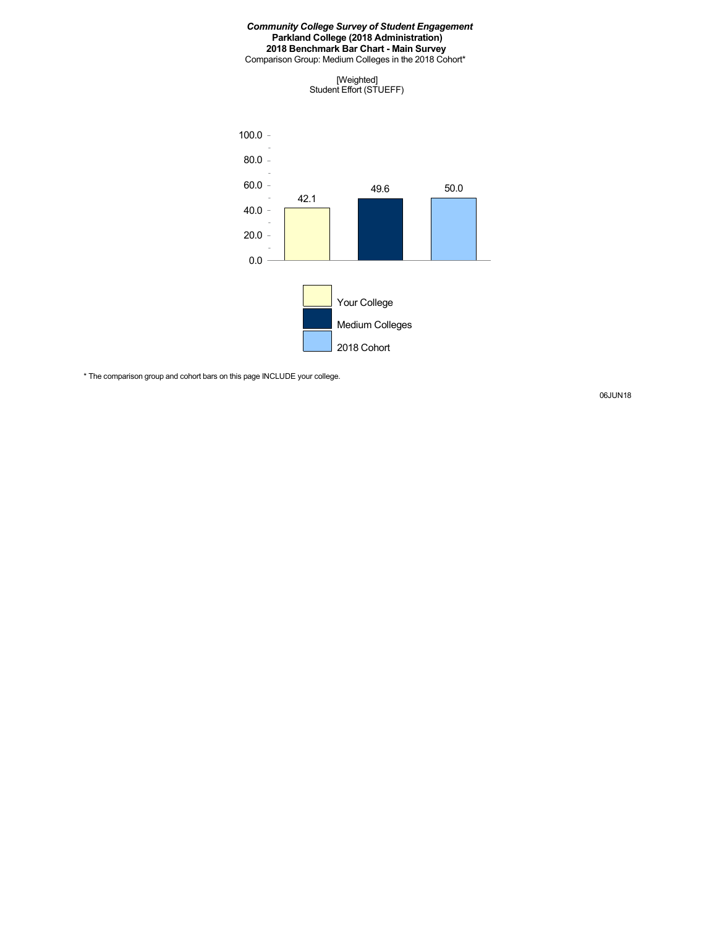Comparison Group: Medium Colleges in the 2018 Cohort\*

[Weighted] Student Effort (STUEFF)



\* The comparison group and cohort bars on this page INCLUDE your college.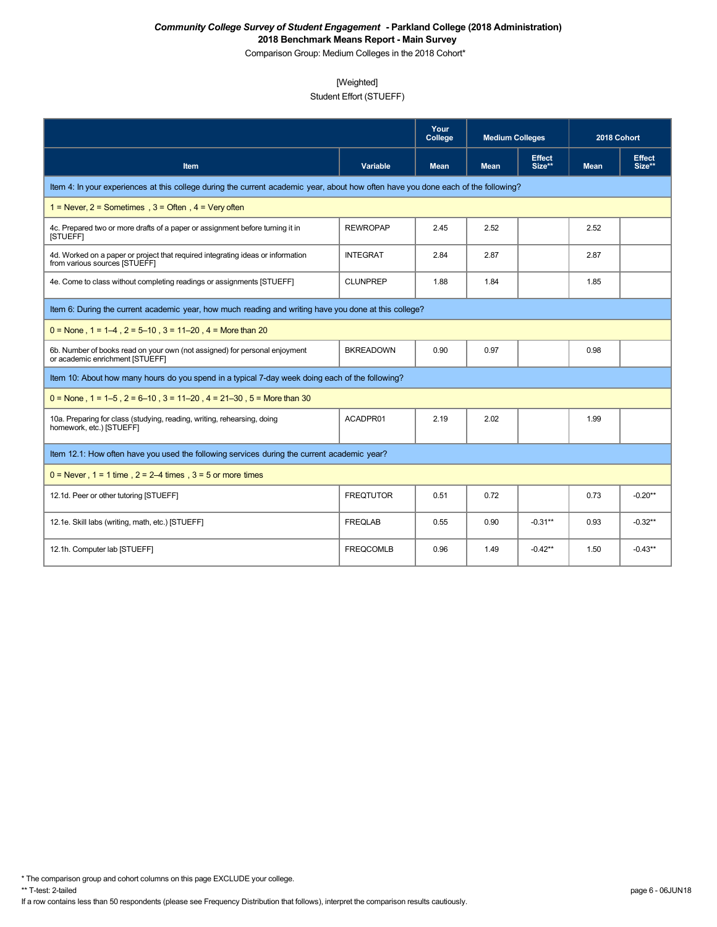Comparison Group: Medium Colleges in the 2018 Cohort\*

### [Weighted]

# Student Effort (STUEFF)

|                                                                                                                                    |                  | Your<br>College | <b>Medium Colleges</b> |                         | 2018 Cohort |                         |
|------------------------------------------------------------------------------------------------------------------------------------|------------------|-----------------|------------------------|-------------------------|-------------|-------------------------|
| Item                                                                                                                               | <b>Variable</b>  | <b>Mean</b>     | <b>Mean</b>            | <b>Effect</b><br>Size** | <b>Mean</b> | <b>Effect</b><br>Size** |
| Item 4: In your experiences at this college during the current academic year, about how often have you done each of the following? |                  |                 |                        |                         |             |                         |
| $1 =$ Never, $2 =$ Sometimes , $3 =$ Often, $4 =$ Very often                                                                       |                  |                 |                        |                         |             |                         |
| 4c. Prepared two or more drafts of a paper or assignment before turning it in<br>[STUEFF]                                          | <b>REWROPAP</b>  | 2.45            | 2.52                   |                         | 2.52        |                         |
| 4d. Worked on a paper or project that required integrating ideas or information<br>from various sources [STUEFF]                   | <b>INTEGRAT</b>  | 2.84            | 2.87                   |                         | 2.87        |                         |
| 4e. Come to class without completing readings or assignments [STUEFF]                                                              | <b>CLUNPREP</b>  | 1.88            | 1.84                   |                         | 1.85        |                         |
| Item 6: During the current academic year, how much reading and writing have you done at this college?                              |                  |                 |                        |                         |             |                         |
| $0 =$ None, 1 = 1–4, 2 = 5–10, 3 = 11–20, 4 = More than 20                                                                         |                  |                 |                        |                         |             |                         |
| 6b. Number of books read on your own (not assigned) for personal enjoyment<br>or academic enrichment [STUEFF]                      | <b>BKREADOWN</b> | 0.90            | 0.97                   |                         | 0.98        |                         |
| Item 10: About how many hours do you spend in a typical 7-day week doing each of the following?                                    |                  |                 |                        |                         |             |                         |
| $0 =$ None, 1 = 1–5, 2 = 6–10, 3 = 11–20, 4 = 21–30, 5 = More than 30                                                              |                  |                 |                        |                         |             |                         |
| 10a. Preparing for class (studying, reading, writing, rehearsing, doing<br>homework, etc.) [STUEFF]                                | ACADPR01         | 2.19            | 2.02                   |                         | 1.99        |                         |
| Item 12.1: How often have you used the following services during the current academic year?                                        |                  |                 |                        |                         |             |                         |
| $0 =$ Never, $1 = 1$ time, $2 = 2-4$ times, $3 = 5$ or more times                                                                  |                  |                 |                        |                         |             |                         |
| 12.1d. Peer or other tutoring [STUEFF]                                                                                             | <b>FREQTUTOR</b> | 0.51            | 0.72                   |                         | 0.73        | $-0.20**$               |
| 12.1e. Skill labs (writing, math, etc.) [STUEFF]                                                                                   | <b>FREQLAB</b>   | 0.55            | 0.90                   | $-0.31**$               | 0.93        | $-0.32**$               |
| 12.1h. Computer lab [STUEFF]                                                                                                       | <b>FREQCOMLB</b> | 0.96            | 1.49                   | $-0.42**$               | 1.50        | $-0.43**$               |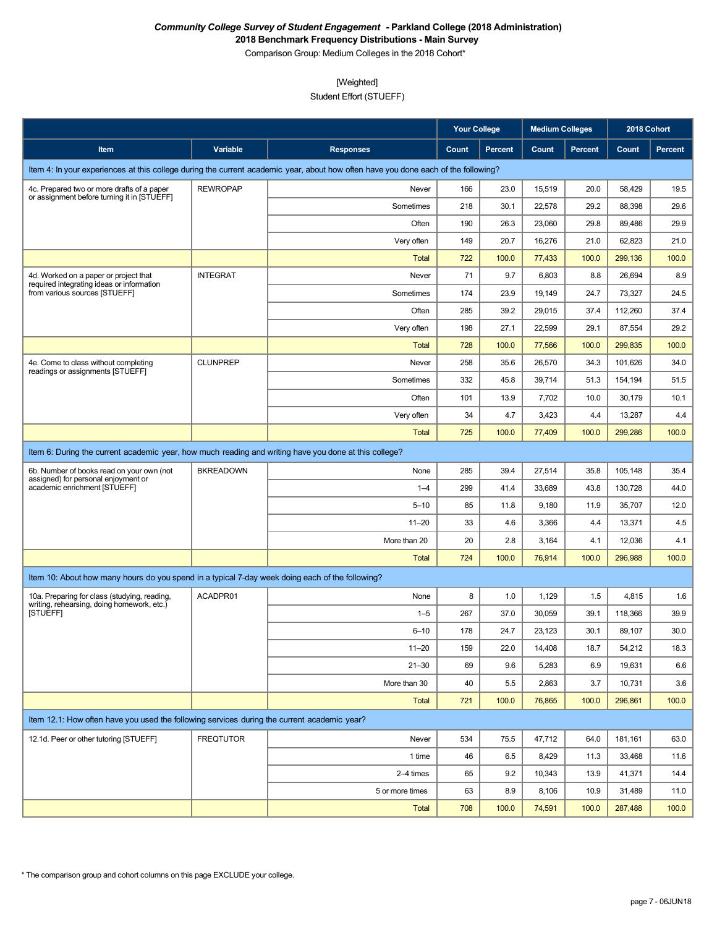Comparison Group: Medium Colleges in the 2018 Cohort\*

### [Weighted]

Student Effort (STUEFF)

|                                                                                                       |                  |                                                                                                                                    |       | <b>Your College</b> |        | <b>Medium Colleges</b> | 2018 Cohort |                |
|-------------------------------------------------------------------------------------------------------|------------------|------------------------------------------------------------------------------------------------------------------------------------|-------|---------------------|--------|------------------------|-------------|----------------|
| Item                                                                                                  | Variable         | <b>Responses</b>                                                                                                                   | Count | <b>Percent</b>      | Count  | <b>Percent</b>         | Count       | <b>Percent</b> |
|                                                                                                       |                  | Item 4: In your experiences at this college during the current academic year, about how often have you done each of the following? |       |                     |        |                        |             |                |
| 4c. Prepared two or more drafts of a paper                                                            | <b>REWROPAP</b>  | Never                                                                                                                              | 166   | 23.0                | 15,519 | 20.0                   | 58,429      | 19.5           |
| or assignment before turning it in [STUEFF]                                                           |                  | Sometimes                                                                                                                          | 218   | 30.1                | 22,578 | 29.2                   | 88,398      | 29.6           |
|                                                                                                       |                  | Often                                                                                                                              | 190   | 26.3                | 23,060 | 29.8                   | 89,486      | 29.9           |
|                                                                                                       |                  | Very often                                                                                                                         | 149   | 20.7                | 16,276 | 21.0                   | 62,823      | 21.0           |
|                                                                                                       |                  | Total                                                                                                                              | 722   | 100.0               | 77,433 | 100.0                  | 299,136     | 100.0          |
| 4d. Worked on a paper or project that<br>required integrating ideas or information                    | <b>INTEGRAT</b>  | Never                                                                                                                              | 71    | 9.7                 | 6,803  | 8.8                    | 26,694      | 8.9            |
| from various sources [STUEFF]                                                                         |                  | Sometimes                                                                                                                          | 174   | 23.9                | 19,149 | 24.7                   | 73,327      | 24.5           |
|                                                                                                       |                  | Often                                                                                                                              | 285   | 39.2                | 29,015 | 37.4                   | 112,260     | 37.4           |
|                                                                                                       |                  | Very often                                                                                                                         | 198   | 27.1                | 22,599 | 29.1                   | 87,554      | 29.2           |
|                                                                                                       |                  | <b>Total</b>                                                                                                                       | 728   | 100.0               | 77,566 | 100.0                  | 299,835     | 100.0          |
| 4e. Come to class without completing<br>readings or assignments [STUEFF]                              | <b>CLUNPREP</b>  | Never                                                                                                                              | 258   | 35.6                | 26,570 | 34.3                   | 101,626     | 34.0           |
|                                                                                                       |                  | Sometimes                                                                                                                          | 332   | 45.8                | 39,714 | 51.3                   | 154,194     | 51.5           |
|                                                                                                       |                  | Often                                                                                                                              | 101   | 13.9                | 7,702  | 10.0                   | 30,179      | 10.1           |
|                                                                                                       |                  | Very often                                                                                                                         | 34    | 4.7                 | 3,423  | 4.4                    | 13,287      | 4.4            |
|                                                                                                       |                  | <b>Total</b>                                                                                                                       | 725   | 100.0               | 77,409 | 100.0                  | 299,286     | 100.0          |
| Item 6: During the current academic year, how much reading and writing have you done at this college? |                  |                                                                                                                                    |       |                     |        |                        |             |                |
| 6b. Number of books read on your own (not                                                             | <b>BKREADOWN</b> | None                                                                                                                               | 285   | 39.4                | 27,514 | 35.8                   | 105,148     | 35.4           |
| assigned) for personal enjoyment or<br>academic enrichment [STUEFF]                                   |                  | $1 - 4$                                                                                                                            | 299   | 41.4                | 33,689 | 43.8                   | 130,728     | 44.0           |
|                                                                                                       |                  | $5 - 10$                                                                                                                           | 85    | 11.8                | 9,180  | 11.9                   | 35,707      | 12.0           |
|                                                                                                       |                  | $11 - 20$                                                                                                                          | 33    | 4.6                 | 3,366  | 4.4                    | 13,371      | 4.5            |
|                                                                                                       |                  | More than 20                                                                                                                       | 20    | 2.8                 | 3,164  | 4.1                    | 12,036      | 4.1            |
|                                                                                                       |                  | <b>Total</b>                                                                                                                       | 724   | 100.0               | 76,914 | 100.0                  | 296,988     | 100.0          |
| Item 10: About how many hours do you spend in a typical 7-day week doing each of the following?       |                  |                                                                                                                                    |       |                     |        |                        |             |                |
| 10a. Preparing for class (studying, reading,                                                          | ACADPR01         | None                                                                                                                               | 8     | 1.0                 | 1,129  | 1.5                    | 4,815       | 1.6            |
| writing, rehearsing, doing homework, etc.)<br><b>ISTUEFFI</b>                                         |                  | $1 - 5$                                                                                                                            | 267   | 37.0                | 30,059 | 39.1                   | 118,366     | 39.9           |
|                                                                                                       |                  | $6 - 10$                                                                                                                           | 178   | 24.7                | 23,123 | 30.1                   | 89,107      | 30.0           |
|                                                                                                       |                  | $11 - 20$                                                                                                                          | 159   | 22.0                | 14,408 | 18.7                   | 54,212      | 18.3           |
|                                                                                                       |                  | $21 - 30$                                                                                                                          | 69    | 9.6                 | 5,283  | 6.9                    | 19,631      | 6.6            |
|                                                                                                       |                  | More than 30                                                                                                                       | 40    | 5.5                 | 2,863  | 3.7                    | 10,731      | 3.6            |
|                                                                                                       |                  | <b>Total</b>                                                                                                                       | 721   | 100.0               | 76,865 | 100.0                  | 296,861     | 100.0          |
| Item 12.1: How often have you used the following services during the current academic year?           |                  |                                                                                                                                    |       |                     |        |                        |             |                |
| 12.1d. Peer or other tutoring [STUEFF]                                                                | <b>FREQTUTOR</b> | Never                                                                                                                              | 534   | 75.5                | 47,712 | 64.0                   | 181,161     | 63.0           |
|                                                                                                       |                  | 1 time                                                                                                                             | 46    | 6.5                 | 8,429  | 11.3                   | 33,468      | 11.6           |
|                                                                                                       |                  | 2-4 times                                                                                                                          | 65    | 9.2                 | 10,343 | 13.9                   | 41,371      | 14.4           |
|                                                                                                       |                  | 5 or more times                                                                                                                    | 63    | 8.9                 | 8,106  | 10.9                   | 31,489      | 11.0           |
|                                                                                                       |                  | <b>Total</b>                                                                                                                       | 708   | 100.0               | 74,591 | 100.0                  | 287,488     | 100.0          |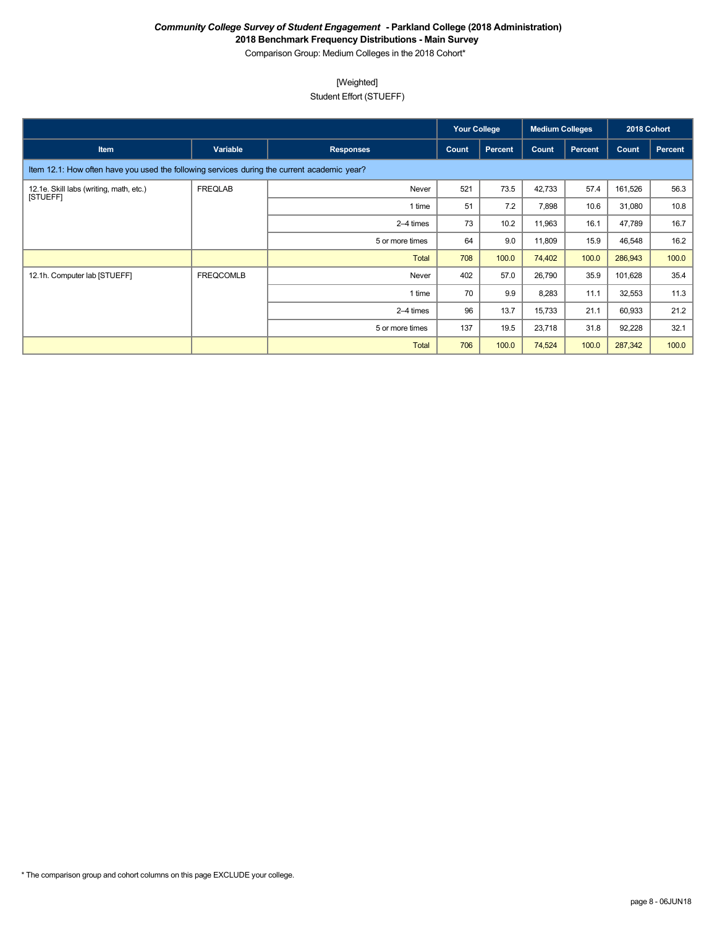Comparison Group: Medium Colleges in the 2018 Cohort\*

# [Weighted]

Student Effort (STUEFF)

|                                                                                             |                  |                  | <b>Your College</b> |         | <b>Medium Colleges</b> |         | 2018 Cohort |         |
|---------------------------------------------------------------------------------------------|------------------|------------------|---------------------|---------|------------------------|---------|-------------|---------|
| <b>Item</b>                                                                                 | Variable         | <b>Responses</b> | Count               | Percent | Count                  | Percent | Count       | Percent |
| Item 12.1: How often have you used the following services during the current academic year? |                  |                  |                     |         |                        |         |             |         |
| 12.1e. Skill labs (writing, math, etc.)<br><b>ISTUEFFI</b>                                  | <b>FREQLAB</b>   | Never            | 521                 | 73.5    | 42,733                 | 57.4    | 161,526     | 56.3    |
|                                                                                             |                  | 1 time           | 51                  | 7.2     | 7,898                  | 10.6    | 31,080      | 10.8    |
|                                                                                             |                  | 2–4 times        | 73                  | 10.2    | 11,963                 | 16.1    | 47,789      | 16.7    |
|                                                                                             |                  | 5 or more times  | 64                  | 9.0     | 11,809                 | 15.9    | 46,548      | 16.2    |
|                                                                                             |                  | <b>Total</b>     | 708                 | 100.0   | 74,402                 | 100.0   | 286,943     | 100.0   |
| 12.1h. Computer lab [STUEFF]                                                                | <b>FREQCOMLB</b> | Never            | 402                 | 57.0    | 26,790                 | 35.9    | 101,628     | 35.4    |
|                                                                                             |                  | 1 time           | 70                  | 9.9     | 8,283                  | 11.1    | 32,553      | 11.3    |
|                                                                                             |                  | 2-4 times        | 96                  | 13.7    | 15,733                 | 21.1    | 60,933      | 21.2    |
|                                                                                             |                  | 5 or more times  | 137                 | 19.5    | 23,718                 | 31.8    | 92,228      | 32.1    |
|                                                                                             |                  | <b>Total</b>     | 706                 | 100.0   | 74,524                 | 100.0   | 287,342     | 100.0   |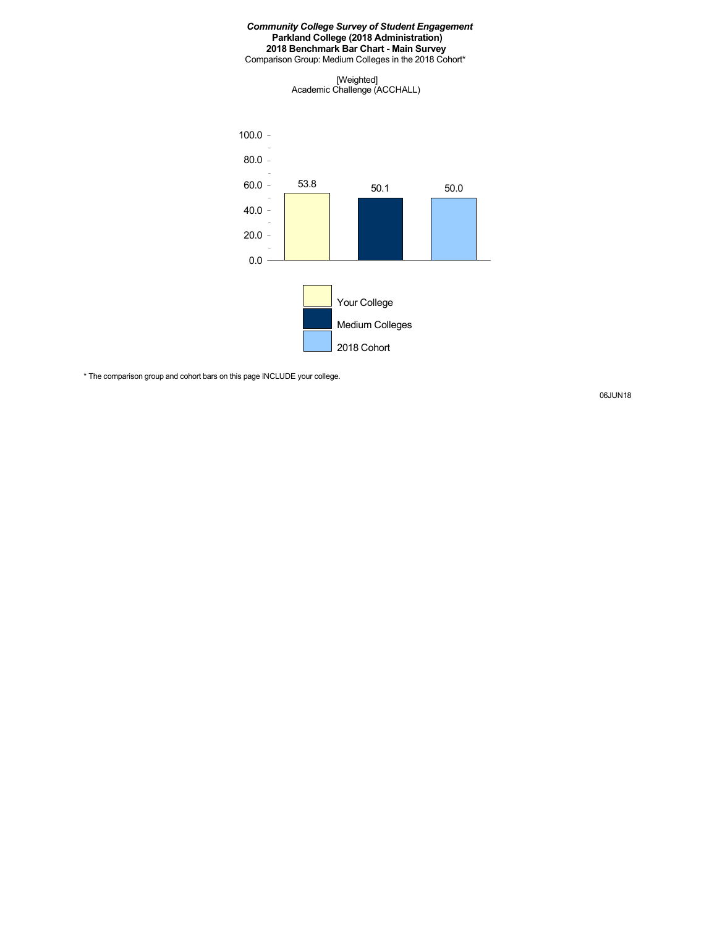Comparison Group: Medium Colleges in the 2018 Cohort\*

[Weighted] Academic Challenge (ACCHALL)



\* The comparison group and cohort bars on this page INCLUDE your college.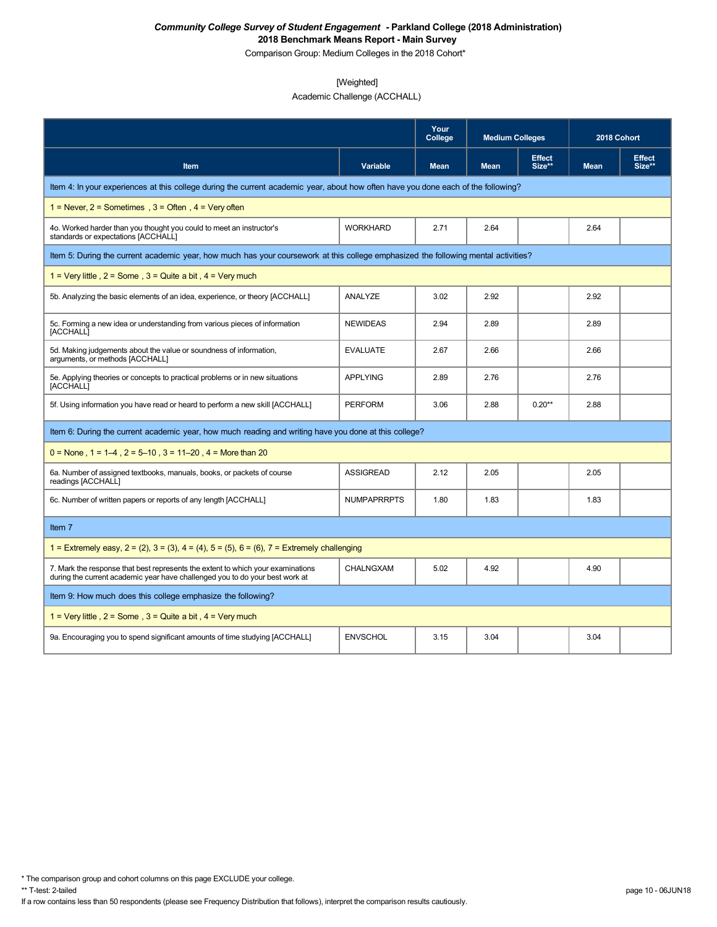Comparison Group: Medium Colleges in the 2018 Cohort\*

### [Weighted]

Academic Challenge (ACCHALL)

|                                                                                                                                                                 |                    | Your<br>College | <b>Medium Colleges</b> |                         | 2018 Cohort |                         |
|-----------------------------------------------------------------------------------------------------------------------------------------------------------------|--------------------|-----------------|------------------------|-------------------------|-------------|-------------------------|
| Item                                                                                                                                                            | Variable           | <b>Mean</b>     | <b>Mean</b>            | <b>Effect</b><br>Size** | <b>Mean</b> | <b>Effect</b><br>Size** |
| Item 4: In your experiences at this college during the current academic year, about how often have you done each of the following?                              |                    |                 |                        |                         |             |                         |
| 1 = Never, $2$ = Sometimes, $3$ = Often, $4$ = Very often                                                                                                       |                    |                 |                        |                         |             |                         |
| 4o. Worked harder than you thought you could to meet an instructor's<br>standards or expectations [ACCHALL]                                                     | <b>WORKHARD</b>    | 2.71            | 2.64                   |                         | 2.64        |                         |
| Item 5: During the current academic year, how much has your coursework at this college emphasized the following mental activities?                              |                    |                 |                        |                         |             |                         |
| 1 = Very little, $2 =$ Some, $3 =$ Quite a bit, $4 =$ Very much                                                                                                 |                    |                 |                        |                         |             |                         |
| 5b. Analyzing the basic elements of an idea, experience, or theory [ACCHALL]                                                                                    | ANALYZE            | 3.02            | 2.92                   |                         | 2.92        |                         |
| 5c. Forming a new idea or understanding from various pieces of information<br>[ACCHALL]                                                                         | <b>NEWIDEAS</b>    | 2.94            | 2.89                   |                         | 2.89        |                         |
| 5d. Making judgements about the value or soundness of information,<br>arguments, or methods [ACCHALL]                                                           | <b>EVALUATE</b>    | 2.67            | 2.66                   |                         | 2.66        |                         |
| 5e. Applying theories or concepts to practical problems or in new situations<br>[ACCHALL]                                                                       | <b>APPLYING</b>    | 2.89            | 2.76                   |                         | 2.76        |                         |
| 5f. Using information you have read or heard to perform a new skill [ACCHALL]                                                                                   | <b>PERFORM</b>     | 3.06            | 2.88                   | $0.20**$                | 2.88        |                         |
| Item 6: During the current academic year, how much reading and writing have you done at this college?                                                           |                    |                 |                        |                         |             |                         |
| $0 =$ None, 1 = 1–4, 2 = 5–10, 3 = 11–20, 4 = More than 20                                                                                                      |                    |                 |                        |                         |             |                         |
| 6a. Number of assigned textbooks, manuals, books, or packets of course<br>readings [ACCHALL]                                                                    | <b>ASSIGREAD</b>   | 2.12            | 2.05                   |                         | 2.05        |                         |
| 6c. Number of written papers or reports of any length [ACCHALL]                                                                                                 | <b>NUMPAPRRPTS</b> | 1.80            | 1.83                   |                         | 1.83        |                         |
| Item 7                                                                                                                                                          |                    |                 |                        |                         |             |                         |
| 1 = Extremely easy, $2 = (2)$ , $3 = (3)$ , $4 = (4)$ , $5 = (5)$ , $6 = (6)$ , $7 =$ Extremely challenging                                                     |                    |                 |                        |                         |             |                         |
| 7. Mark the response that best represents the extent to which your examinations<br>during the current academic year have challenged you to do your best work at | <b>CHALNGXAM</b>   | 5.02            | 4.92                   |                         | 4.90        |                         |
| Item 9: How much does this college emphasize the following?                                                                                                     |                    |                 |                        |                         |             |                         |
| 1 = Very little, $2 =$ Some, $3 =$ Quite a bit, $4 =$ Very much                                                                                                 |                    |                 |                        |                         |             |                         |
| 9a. Encouraging you to spend significant amounts of time studying [ACCHALL]                                                                                     | <b>ENVSCHOL</b>    | 3.15            | 3.04                   |                         | 3.04        |                         |

\* The comparison group and cohort columns on this page EXCLUDE your college.

If a row contains less than 50 respondents (please see Frequency Distribution that follows), interpret the comparison results cautiously.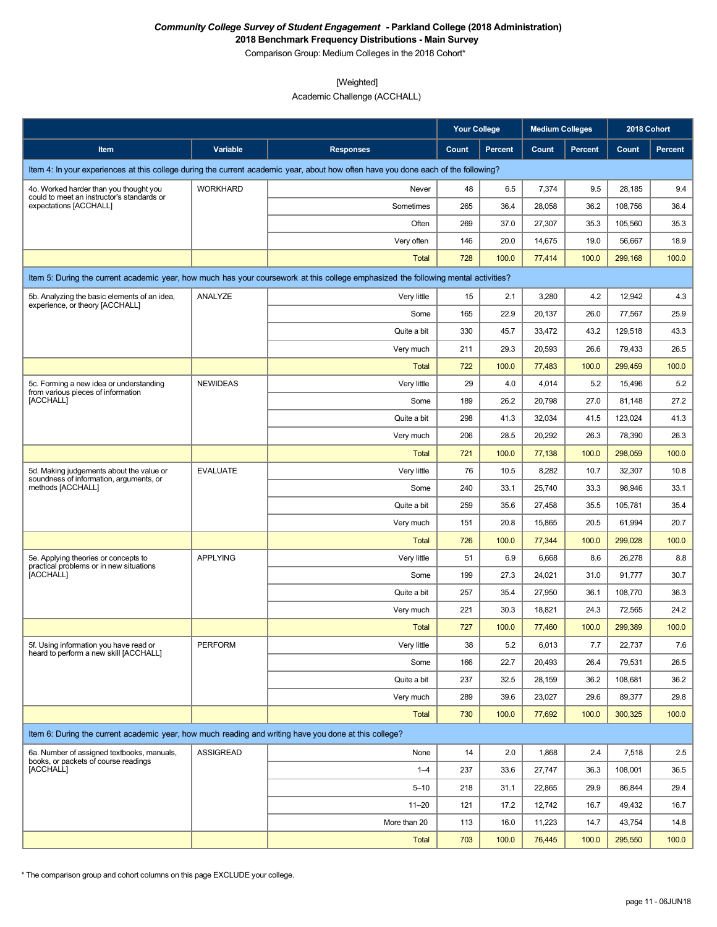Comparison Group: Medium Colleges in the 2018 Cohort\*

#### [Weighted]

Academic Challenge (ACCHALL)

|                                                                                                       |                  |                                                                                                                                    | <b>Your College</b> |                | <b>Medium Colleges</b> |                | 2018 Cohort |                |
|-------------------------------------------------------------------------------------------------------|------------------|------------------------------------------------------------------------------------------------------------------------------------|---------------------|----------------|------------------------|----------------|-------------|----------------|
| Item                                                                                                  | Variable         | <b>Responses</b>                                                                                                                   | Count               | <b>Percent</b> | Count                  | <b>Percent</b> | Count       | <b>Percent</b> |
|                                                                                                       |                  | Item 4: In your experiences at this college during the current academic year, about how often have you done each of the following? |                     |                |                        |                |             |                |
| 4o. Worked harder than you thought you                                                                | <b>WORKHARD</b>  | Never                                                                                                                              | 48                  | 6.5            | 7,374                  | 9.5            | 28,185      | 9.4            |
| could to meet an instructor's standards or<br>expectations [ACCHALL]                                  |                  | Sometimes                                                                                                                          | 265                 | 36.4           | 28,058                 | 36.2           | 108,756     | 36.4           |
|                                                                                                       |                  | Often                                                                                                                              | 269                 | 37.0           | 27,307                 | 35.3           | 105,560     | 35.3           |
|                                                                                                       |                  | Very often                                                                                                                         | 146                 | 20.0           | 14,675                 | 19.0           | 56,667      | 18.9           |
|                                                                                                       |                  | <b>Total</b>                                                                                                                       | 728                 | 100.0          | 77,414                 | 100.0          | 299.168     | 100.0          |
|                                                                                                       |                  | Item 5: During the current academic year, how much has your coursework at this college emphasized the following mental activities? |                     |                |                        |                |             |                |
| 5b. Analyzing the basic elements of an idea,                                                          | ANALYZE          | Very little                                                                                                                        | 15                  | 2.1            | 3,280                  | 4.2            | 12,942      | 4.3            |
| experience, or theory [ACCHALL]                                                                       |                  | Some                                                                                                                               | 165                 | 22.9           | 20,137                 | 26.0           | 77,567      | 25.9           |
|                                                                                                       |                  | Quite a bit                                                                                                                        | 330                 | 45.7           | 33,472                 | 43.2           | 129,518     | 43.3           |
|                                                                                                       |                  | Very much                                                                                                                          | 211                 | 29.3           | 20,593                 | 26.6           | 79,433      | 26.5           |
|                                                                                                       |                  | <b>Total</b>                                                                                                                       | 722                 | 100.0          | 77,483                 | 100.0          | 299.459     | 100.0          |
| 5c. Forming a new idea or understanding                                                               | <b>NEWIDEAS</b>  | Very little                                                                                                                        | 29                  | 4.0            | 4,014                  | 5.2            | 15,496      | 5.2            |
| from various pieces of information<br>[ACCHALL]                                                       |                  | Some                                                                                                                               | 189                 | 26.2           | 20,798                 | 27.0           | 81,148      | 27.2           |
|                                                                                                       |                  | Quite a bit                                                                                                                        | 298                 | 41.3           | 32,034                 | 41.5           | 123,024     | 41.3           |
|                                                                                                       |                  | Very much                                                                                                                          | 206                 | 28.5           | 20,292                 | 26.3           | 78,390      | 26.3           |
|                                                                                                       |                  | <b>Total</b>                                                                                                                       | 721                 | 100.0          | 77,138                 | 100.0          | 298,059     | 100.0          |
| 5d. Making judgements about the value or                                                              | <b>EVALUATE</b>  | Very little                                                                                                                        | 76                  | 10.5           | 8,282                  | 10.7           | 32,307      | 10.8           |
| soundness of information, arguments, or<br>methods [ACCHALL]                                          |                  | Some                                                                                                                               | 240                 | 33.1           | 25,740                 | 33.3           | 98,946      | 33.1           |
|                                                                                                       |                  | Quite a bit                                                                                                                        | 259                 | 35.6           | 27,458                 | 35.5           | 105,781     | 35.4           |
|                                                                                                       |                  | Very much                                                                                                                          | 151                 | 20.8           | 15,865                 | 20.5           | 61,994      | 20.7           |
|                                                                                                       |                  | <b>Total</b>                                                                                                                       | 726                 | 100.0          | 77,344                 | 100.0          | 299,028     | 100.0          |
| 5e. Applying theories or concepts to<br>practical problems or in new situations                       | <b>APPLYING</b>  | Very little                                                                                                                        | 51                  | 6.9            | 6,668                  | 8.6            | 26,278      | 8.8            |
| [ACCHALL]                                                                                             |                  | Some                                                                                                                               | 199                 | 27.3           | 24,021                 | 31.0           | 91,777      | 30.7           |
|                                                                                                       |                  | Quite a bit                                                                                                                        | 257                 | 35.4           | 27,950                 | 36.1           | 108,770     | 36.3           |
|                                                                                                       |                  | Very much                                                                                                                          | 221                 | 30.3           | 18,821                 | 24.3           | 72,565      | 24.2           |
|                                                                                                       |                  | <b>Total</b>                                                                                                                       | 727                 | 100.0          | 77,460                 | 100.0          | 299,389     | 100.0          |
| 5f. Using information you have read or<br>heard to perform a new skill [ACCHALL]                      | <b>PERFORM</b>   | Very little                                                                                                                        | 38                  | $5.2\,$        | 6,013                  | $7.7\,$        | 22,737      | $7.6\,$        |
|                                                                                                       |                  | Some                                                                                                                               | 166                 | 22.7           | 20,493                 | 26.4           | 79,531      | 26.5           |
|                                                                                                       |                  | Quite a bit                                                                                                                        | 237                 | 32.5           | 28,159                 | 36.2           | 108,681     | 36.2           |
|                                                                                                       |                  | Very much                                                                                                                          | 289                 | 39.6           | 23,027                 | 29.6           | 89,377      | 29.8           |
|                                                                                                       |                  | Total                                                                                                                              | 730                 | 100.0          | 77,692                 | 100.0          | 300,325     | 100.0          |
| Item 6: During the current academic year, how much reading and writing have you done at this college? |                  |                                                                                                                                    |                     |                |                        |                |             |                |
| 6a. Number of assigned textbooks, manuals,                                                            | <b>ASSIGREAD</b> | None                                                                                                                               | 14                  | 2.0            | 1,868                  | 2.4            | 7,518       | 2.5            |
| books, or packets of course readings<br>[ACCHALL]                                                     |                  | $1 - 4$                                                                                                                            | 237                 | 33.6           | 27,747                 | 36.3           | 108,001     | 36.5           |
|                                                                                                       |                  | $5 - 10$                                                                                                                           | 218                 | 31.1           | 22,865                 | 29.9           | 86,844      | 29.4           |
|                                                                                                       |                  | $11 - 20$                                                                                                                          | 121                 | 17.2           | 12,742                 | 16.7           | 49,432      | 16.7           |
|                                                                                                       |                  | More than 20                                                                                                                       | 113                 | 16.0           | 11,223                 | 14.7           | 43,754      | 14.8           |
|                                                                                                       |                  | <b>Total</b>                                                                                                                       | 703                 | 100.0          | 76,445                 | 100.0          | 295,550     | 100.0          |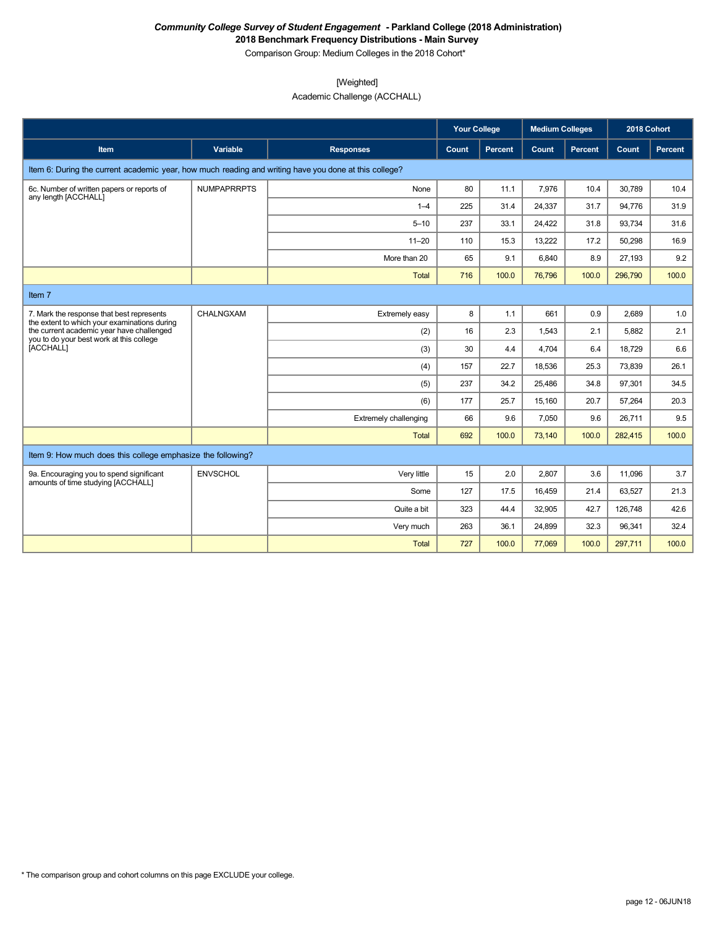Comparison Group: Medium Colleges in the 2018 Cohort\*

# [Weighted]

Academic Challenge (ACCHALL)

|                                                                                                       |                    |                              | <b>Your College</b> |                | <b>Medium Colleges</b> |                | 2018 Cohort |         |
|-------------------------------------------------------------------------------------------------------|--------------------|------------------------------|---------------------|----------------|------------------------|----------------|-------------|---------|
| <b>Item</b>                                                                                           | <b>Variable</b>    | <b>Responses</b>             | Count               | <b>Percent</b> | Count                  | <b>Percent</b> | Count       | Percent |
| Item 6: During the current academic year, how much reading and writing have you done at this college? |                    |                              |                     |                |                        |                |             |         |
| 6c. Number of written papers or reports of<br>any length [ACCHALL]                                    | <b>NUMPAPRRPTS</b> | None                         | 80                  | 11.1           | 7.976                  | 10.4           | 30.789      | 10.4    |
|                                                                                                       |                    | $1 - 4$                      | 225                 | 31.4           | 24,337                 | 31.7           | 94,776      | 31.9    |
|                                                                                                       |                    | $5 - 10$                     | 237                 | 33.1           | 24,422                 | 31.8           | 93,734      | 31.6    |
|                                                                                                       |                    | $11 - 20$                    | 110                 | 15.3           | 13,222                 | 17.2           | 50,298      | 16.9    |
|                                                                                                       |                    | More than 20                 | 65                  | 9.1            | 6,840                  | 8.9            | 27,193      | 9.2     |
|                                                                                                       |                    | Total                        | 716                 | 100.0          | 76,796                 | 100.0          | 296,790     | 100.0   |
| Item 7                                                                                                |                    |                              |                     |                |                        |                |             |         |
| 7. Mark the response that best represents<br>the extent to which your examinations during             | CHALNGXAM          | Extremely easy               | 8                   | 1.1            | 661                    | 0.9            | 2.689       | 1.0     |
| the current academic year have challenged                                                             |                    | (2)                          | 16                  | 2.3            | 1,543                  | 2.1            | 5.882       | 2.1     |
| you to do your best work at this college<br><b>ÍACCHALLI</b>                                          |                    | (3)                          | 30                  | 4.4            | 4.704                  | 6.4            | 18.729      | 6.6     |
|                                                                                                       |                    | (4)                          | 157                 | 22.7           | 18,536                 | 25.3           | 73,839      | 26.1    |
|                                                                                                       |                    | (5)                          | 237                 | 34.2           | 25,486                 | 34.8           | 97,301      | 34.5    |
|                                                                                                       |                    | (6)                          | 177                 | 25.7           | 15.160                 | 20.7           | 57,264      | 20.3    |
|                                                                                                       |                    | <b>Extremely challenging</b> | 66                  | 9.6            | 7,050                  | 9.6            | 26.711      | 9.5     |
|                                                                                                       |                    | <b>Total</b>                 | 692                 | 100.0          | 73,140                 | 100.0          | 282,415     | 100.0   |
| Item 9: How much does this college emphasize the following?                                           |                    |                              |                     |                |                        |                |             |         |
| 9a. Encouraging you to spend significant<br>amounts of time studying [ACCHALL]                        | <b>ENVSCHOL</b>    | Very little                  | 15                  | 2.0            | 2,807                  | 3.6            | 11,096      | 3.7     |
|                                                                                                       |                    | Some                         | 127                 | 17.5           | 16,459                 | 21.4           | 63,527      | 21.3    |
|                                                                                                       |                    | Quite a bit                  | 323                 | 44.4           | 32,905                 | 42.7           | 126,748     | 42.6    |
|                                                                                                       |                    | Very much                    | 263                 | 36.1           | 24,899                 | 32.3           | 96.341      | 32.4    |
|                                                                                                       |                    | <b>Total</b>                 | 727                 | 100.0          | 77,069                 | 100.0          | 297,711     | 100.0   |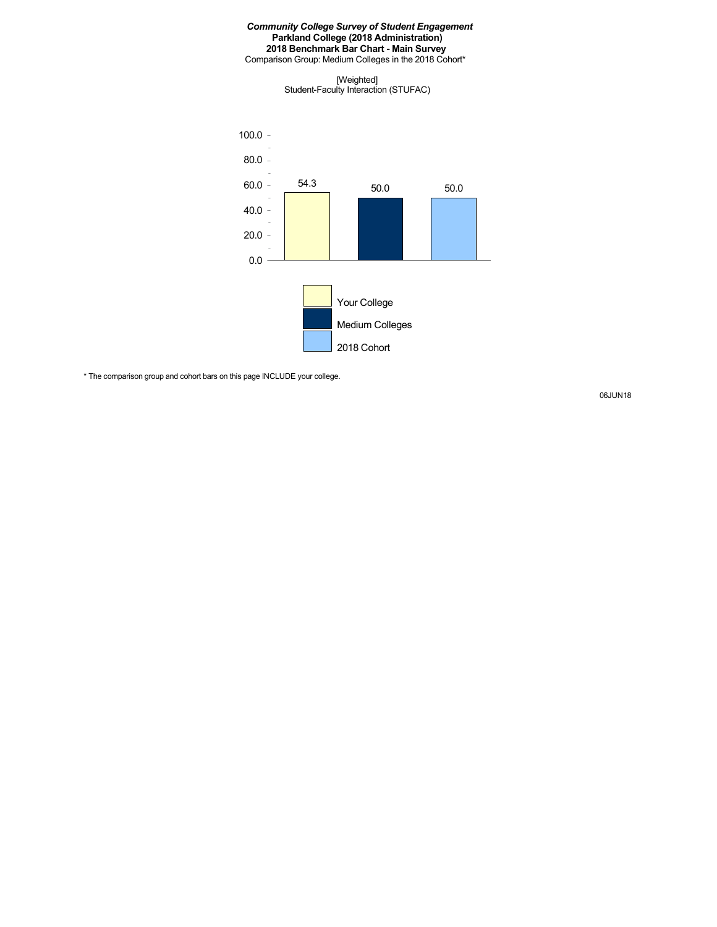#### *Community College Survey of Student Engagement* **Parkland College (2018 Administration) 2018 Benchmark Bar Chart - Main Survey** Comparison Group: Medium Colleges in the 2018 Cohort\*

[Weighted] Student-Faculty Interaction (STUFAC)



\* The comparison group and cohort bars on this page INCLUDE your college.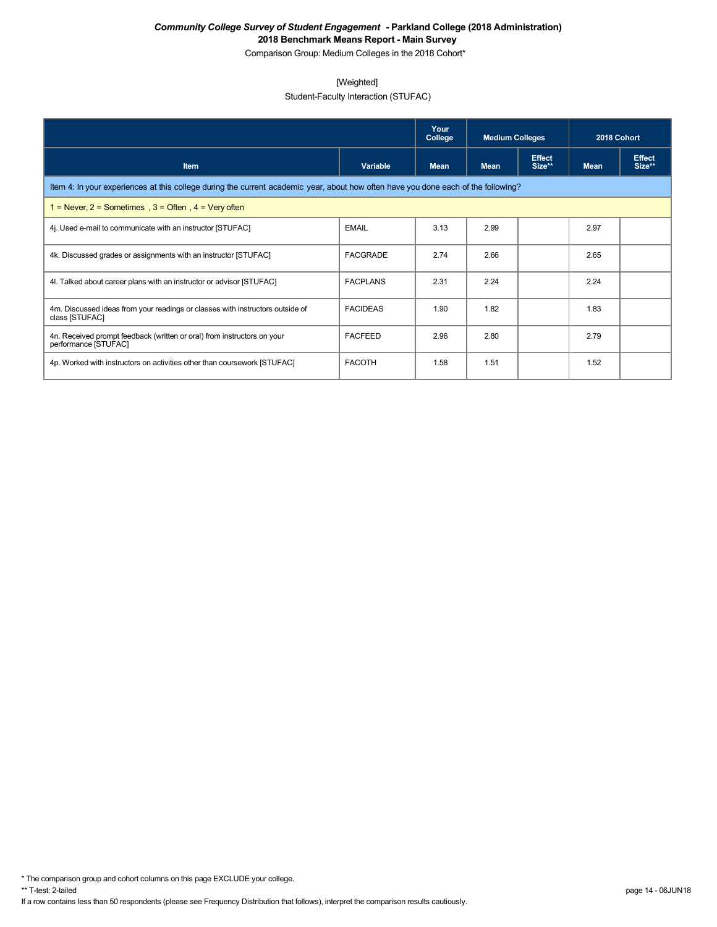Comparison Group: Medium Colleges in the 2018 Cohort\*

### [Weighted]

Student-Faculty Interaction (STUFAC)

|                                                                                                                                    |                 | Your<br>College | <b>Medium Colleges</b> |                         | 2018 Cohort |                         |  |  |  |
|------------------------------------------------------------------------------------------------------------------------------------|-----------------|-----------------|------------------------|-------------------------|-------------|-------------------------|--|--|--|
| Variable<br><b>Item</b>                                                                                                            |                 | Mean            | <b>Mean</b>            | <b>Effect</b><br>Size** | <b>Mean</b> | <b>Effect</b><br>Size** |  |  |  |
| Item 4: In your experiences at this college during the current academic year, about how often have you done each of the following? |                 |                 |                        |                         |             |                         |  |  |  |
| $1 =$ Never, $2 =$ Sometimes, $3 =$ Often, $4 =$ Very often                                                                        |                 |                 |                        |                         |             |                         |  |  |  |
| 4. Used e-mail to communicate with an instructor [STUFAC]                                                                          | <b>EMAIL</b>    | 3.13            | 2.99                   |                         | 2.97        |                         |  |  |  |
| 4k. Discussed grades or assignments with an instructor [STUFAC]                                                                    | <b>FACGRADE</b> | 2.74            | 2.66                   |                         | 2.65        |                         |  |  |  |
| 4I. Talked about career plans with an instructor or advisor [STUFAC]                                                               | <b>FACPLANS</b> | 2.31            | 2.24                   |                         | 2.24        |                         |  |  |  |
| 4m. Discussed ideas from your readings or classes with instructors outside of<br>class [STUFAC]                                    | <b>FACIDEAS</b> | 1.90            | 1.82                   |                         | 1.83        |                         |  |  |  |
| 4n. Received prompt feedback (written or oral) from instructors on your<br>performance [STUFAC]                                    | <b>FACFEED</b>  | 2.96            | 2.80                   |                         | 2.79        |                         |  |  |  |
| 4p. Worked with instructors on activities other than coursework [STUFAC]                                                           | <b>FACOTH</b>   | 1.58            | 1.51                   |                         | 1.52        |                         |  |  |  |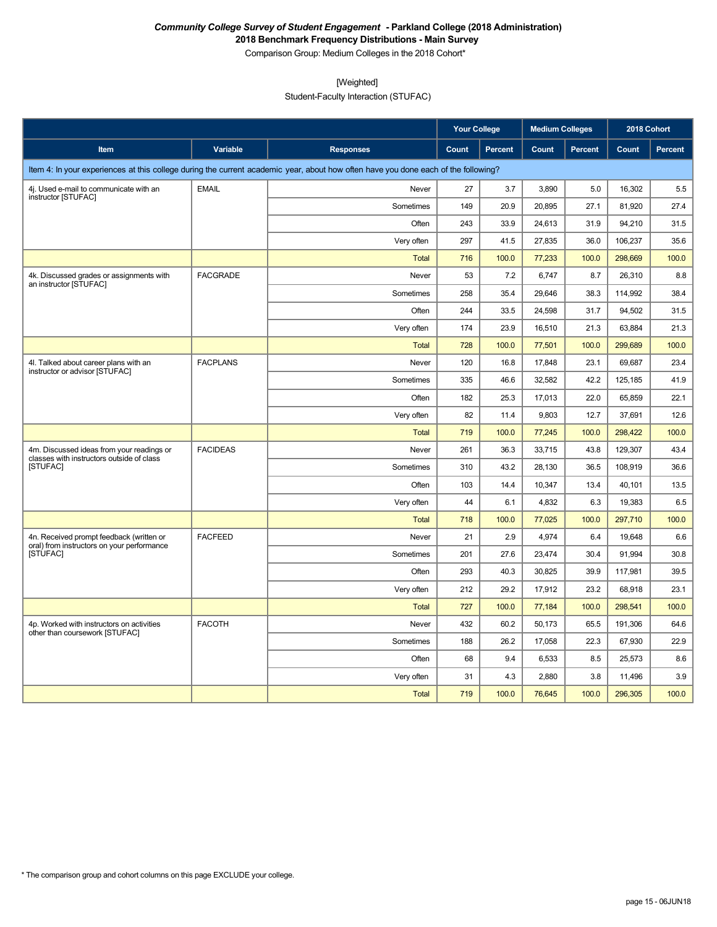Comparison Group: Medium Colleges in the 2018 Cohort\*

[Weighted]

Student-Faculty Interaction (STUFAC)

|                                                                                                                                    |                 |                  | <b>Your College</b> |         | <b>Medium Colleges</b> |                | 2018 Cohort |         |
|------------------------------------------------------------------------------------------------------------------------------------|-----------------|------------------|---------------------|---------|------------------------|----------------|-------------|---------|
| Item                                                                                                                               | Variable        | <b>Responses</b> | Count               | Percent | Count                  | <b>Percent</b> | Count       | Percent |
| Item 4: In your experiences at this college during the current academic year, about how often have you done each of the following? |                 |                  |                     |         |                        |                |             |         |
| 4j. Used e-mail to communicate with an                                                                                             | <b>EMAIL</b>    | Never            | 27                  | 3.7     | 3,890                  | 5.0            | 16,302      | 5.5     |
| instructor [STUFAC]                                                                                                                |                 | Sometimes        | 149                 | 20.9    | 20,895                 | 27.1           | 81,920      | 27.4    |
|                                                                                                                                    |                 | Often            | 243                 | 33.9    | 24,613                 | 31.9           | 94,210      | 31.5    |
|                                                                                                                                    |                 | Very often       | 297                 | 41.5    | 27,835                 | 36.0           | 106,237     | 35.6    |
|                                                                                                                                    |                 | <b>Total</b>     | 716                 | 100.0   | 77,233                 | 100.0          | 298,669     | 100.0   |
| 4k. Discussed grades or assignments with<br>an instructor [STUFAC]                                                                 | <b>FACGRADE</b> | Never            | 53                  | 7.2     | 6,747                  | 8.7            | 26,310      | 8.8     |
|                                                                                                                                    |                 | Sometimes        | 258                 | 35.4    | 29,646                 | 38.3           | 114,992     | 38.4    |
|                                                                                                                                    |                 | Often            | 244                 | 33.5    | 24,598                 | 31.7           | 94,502      | 31.5    |
|                                                                                                                                    |                 | Very often       | 174                 | 23.9    | 16,510                 | 21.3           | 63,884      | 21.3    |
|                                                                                                                                    |                 | <b>Total</b>     | 728                 | 100.0   | 77,501                 | 100.0          | 299,689     | 100.0   |
| 4I. Talked about career plans with an<br>instructor or advisor [STUFAC]                                                            | <b>FACPLANS</b> | Never            | 120                 | 16.8    | 17,848                 | 23.1           | 69,687      | 23.4    |
|                                                                                                                                    |                 | Sometimes        | 335                 | 46.6    | 32,582                 | 42.2           | 125,185     | 41.9    |
|                                                                                                                                    |                 | Often            | 182                 | 25.3    | 17,013                 | 22.0           | 65,859      | 22.1    |
|                                                                                                                                    |                 | Very often       | 82                  | 11.4    | 9,803                  | 12.7           | 37,691      | 12.6    |
|                                                                                                                                    |                 | <b>Total</b>     | 719                 | 100.0   | 77,245                 | 100.0          | 298,422     | 100.0   |
| 4m. Discussed ideas from your readings or<br>classes with instructors outside of class                                             | <b>FACIDEAS</b> | Never            | 261                 | 36.3    | 33,715                 | 43.8           | 129,307     | 43.4    |
| <b>ISTUFACI</b>                                                                                                                    |                 | Sometimes        | 310                 | 43.2    | 28,130                 | 36.5           | 108,919     | 36.6    |
|                                                                                                                                    |                 | Often            | 103                 | 14.4    | 10,347                 | 13.4           | 40,101      | 13.5    |
|                                                                                                                                    |                 | Very often       | 44                  | 6.1     | 4,832                  | 6.3            | 19,383      | 6.5     |
|                                                                                                                                    |                 | <b>Total</b>     | 718                 | 100.0   | 77,025                 | 100.0          | 297,710     | 100.0   |
| 4n. Received prompt feedback (written or<br>oral) from instructors on your performance                                             | <b>FACFEED</b>  | Never            | 21                  | 2.9     | 4,974                  | 6.4            | 19.648      | 6.6     |
| <b>ISTUFACI</b>                                                                                                                    |                 | Sometimes        | 201                 | 27.6    | 23,474                 | 30.4           | 91.994      | 30.8    |
|                                                                                                                                    |                 | Often            | 293                 | 40.3    | 30,825                 | 39.9           | 117,981     | 39.5    |
|                                                                                                                                    |                 | Very often       | 212                 | 29.2    | 17,912                 | 23.2           | 68,918      | 23.1    |
|                                                                                                                                    |                 | <b>Total</b>     | 727                 | 100.0   | 77,184                 | 100.0          | 298,541     | 100.0   |
| 4p. Worked with instructors on activities<br>other than coursework [STUFAC]                                                        | <b>FACOTH</b>   | Never            | 432                 | 60.2    | 50,173                 | 65.5           | 191,306     | 64.6    |
|                                                                                                                                    |                 | Sometimes        | 188                 | 26.2    | 17,058                 | 22.3           | 67,930      | 22.9    |
|                                                                                                                                    |                 | Often            | 68                  | 9.4     | 6,533                  | 8.5            | 25,573      | 8.6     |
|                                                                                                                                    |                 | Very often       | 31                  | 4.3     | 2,880                  | 3.8            | 11,496      | 3.9     |
|                                                                                                                                    |                 | Total            | 719                 | 100.0   | 76,645                 | 100.0          | 296,305     | 100.0   |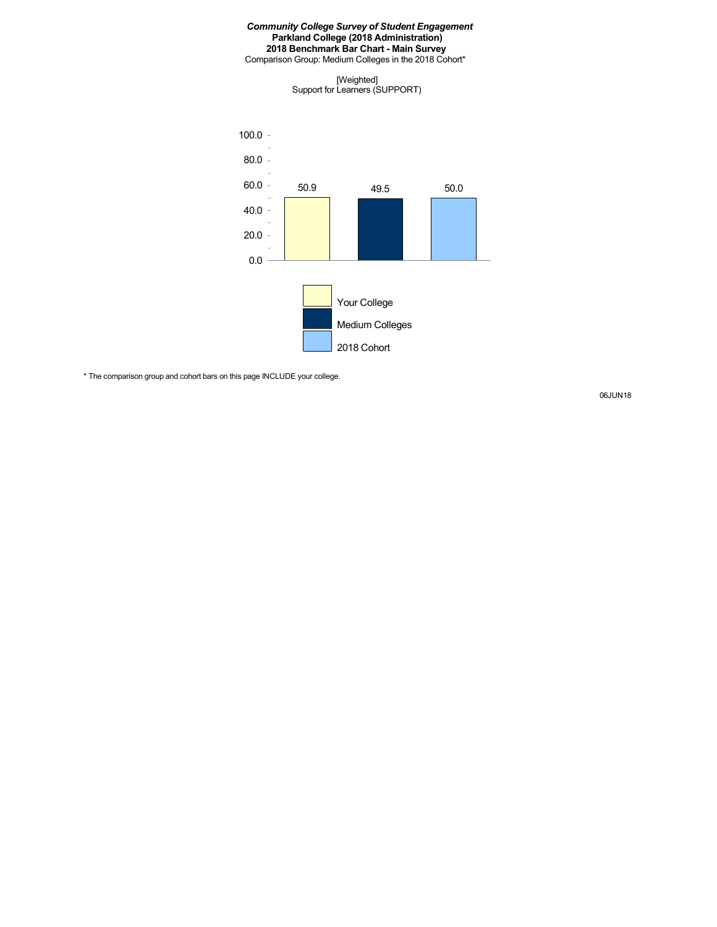#### *Community College Survey of Student Engagement* **Parkland College (2018 Administration) 2018 Benchmark Bar Chart - Main Survey** Comparison Group: Medium Colleges in the 2018 Cohort\*

[Weighted] Support for Learners (SUPPORT)



\* The comparison group and cohort bars on this page INCLUDE your college.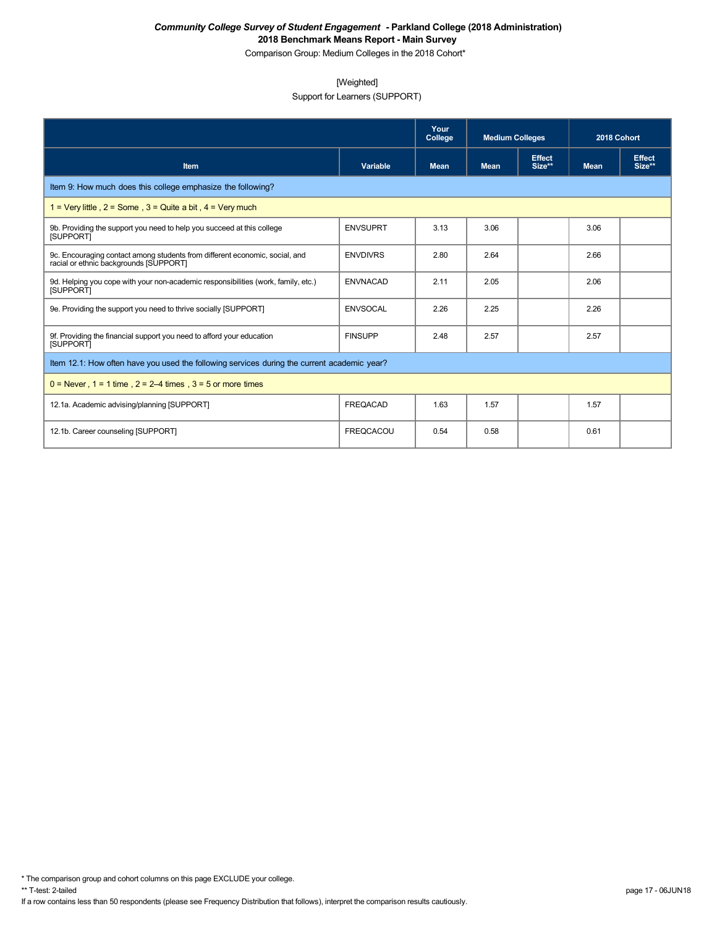Comparison Group: Medium Colleges in the 2018 Cohort\*

### [Weighted]

Support for Learners (SUPPORT)

|                                                                                                                       |                  | Your<br>College | <b>Medium Colleges</b> |                         | 2018 Cohort |                         |
|-----------------------------------------------------------------------------------------------------------------------|------------------|-----------------|------------------------|-------------------------|-------------|-------------------------|
| Item                                                                                                                  | Variable         | <b>Mean</b>     | <b>Mean</b>            | <b>Effect</b><br>Size** | <b>Mean</b> | <b>Effect</b><br>Size** |
| Item 9: How much does this college emphasize the following?                                                           |                  |                 |                        |                         |             |                         |
| 1 = Very little, $2 =$ Some, $3 =$ Quite a bit, $4 =$ Very much                                                       |                  |                 |                        |                         |             |                         |
| 9b. Providing the support you need to help you succeed at this college<br><b>ISUPPORTI</b>                            | <b>ENVSUPRT</b>  | 3.13            | 3.06                   |                         | 3.06        |                         |
| 9c. Encouraging contact among students from different economic, social, and<br>racial or ethnic backgrounds [SUPPORT] | <b>ENVDIVRS</b>  | 2.80            | 2.64                   |                         | 2.66        |                         |
| 9d. Helping you cope with your non-academic responsibilities (work, family, etc.)<br><b>ISUPPORTI</b>                 | <b>ENVNACAD</b>  | 2.11            | 2.05                   |                         | 2.06        |                         |
| 9e. Providing the support you need to thrive socially [SUPPORT]                                                       | <b>ENVSOCAL</b>  | 2.26            | 2.25                   |                         | 2.26        |                         |
| 9f. Providing the financial support you need to afford your education<br>[SUPPORT]                                    | <b>FINSUPP</b>   | 2.48            | 2.57                   |                         | 2.57        |                         |
| Item 12.1: How often have you used the following services during the current academic year?                           |                  |                 |                        |                         |             |                         |
| $0 =$ Never, $1 = 1$ time, $2 = 2-4$ times, $3 = 5$ or more times                                                     |                  |                 |                        |                         |             |                         |
| 12.1a. Academic advising/planning [SUPPORT]                                                                           | <b>FREQACAD</b>  | 1.63            | 1.57                   |                         | 1.57        |                         |
| 12.1b. Career counseling [SUPPORT]                                                                                    | <b>FREQCACOU</b> | 0.54            | 0.58                   |                         | 0.61        |                         |